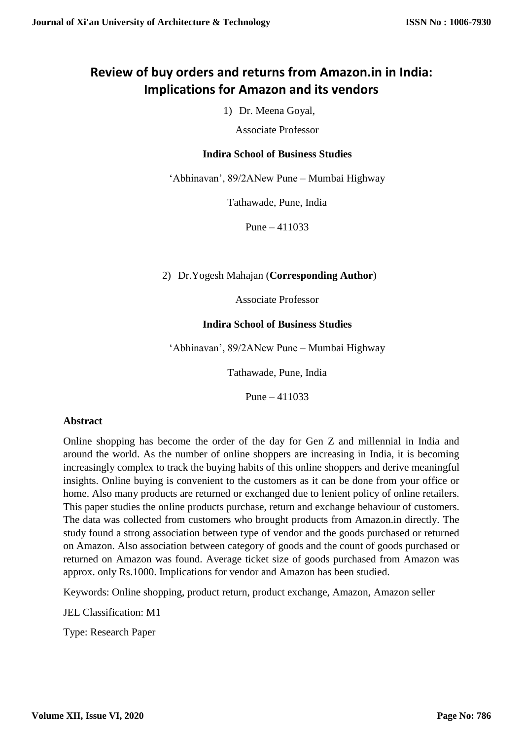# **Review of buy orders and returns from Amazon.in in India: Implications for Amazon and its vendors**

1) Dr. Meena Goyal,

Associate Professor

## **Indira School of Business Studies**

'Abhinavan', 89/2ANew Pune – Mumbai Highway

Tathawade, Pune, India

Pune – 411033

## 2) Dr.Yogesh Mahajan (**Corresponding Author**)

Associate Professor

## **Indira School of Business Studies**

'Abhinavan', 89/2ANew Pune – Mumbai Highway

Tathawade, Pune, India

Pune – 411033

## **Abstract**

Online shopping has become the order of the day for Gen Z and millennial in India and around the world. As the number of online shoppers are increasing in India, it is becoming increasingly complex to track the buying habits of this online shoppers and derive meaningful insights. Online buying is convenient to the customers as it can be done from your office or home. Also many products are returned or exchanged due to lenient policy of online retailers. This paper studies the online products purchase, return and exchange behaviour of customers. The data was collected from customers who brought products from Amazon.in directly. The study found a strong association between type of vendor and the goods purchased or returned on Amazon. Also association between category of goods and the count of goods purchased or returned on Amazon was found. Average ticket size of goods purchased from Amazon was approx. only Rs.1000. Implications for vendor and Amazon has been studied.

Keywords: Online shopping, product return, product exchange, Amazon, Amazon seller

JEL Classification: M1

Type: Research Paper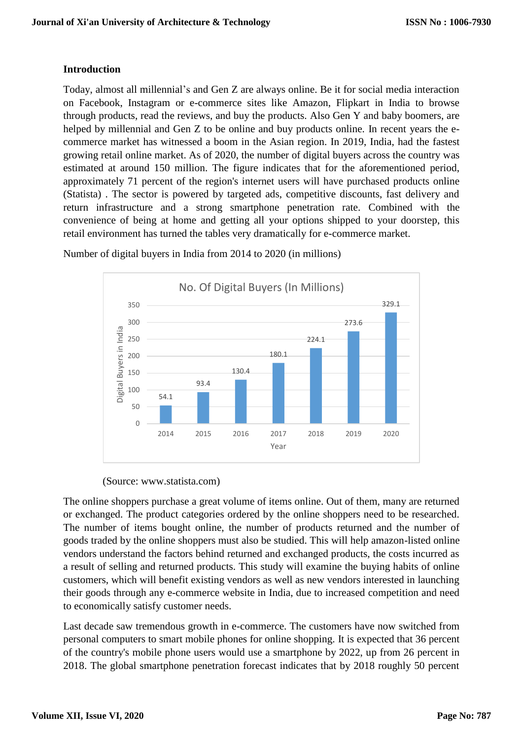## **Introduction**

Today, almost all millennial's and Gen Z are always online. Be it for social media interaction on Facebook, Instagram or e-commerce sites like Amazon, Flipkart in India to browse through products, read the reviews, and buy the products. Also Gen Y and baby boomers, are helped by millennial and Gen Z to be online and buy products online. In recent years the ecommerce market has witnessed a boom in the Asian region. In 2019, India, had the fastest growing retail online market. As of 2020, the number of digital buyers across the country was estimated at around 150 million. The figure indicates that for the aforementioned period, approximately 71 percent of the region's internet users will have purchased products online (Statista) . The sector is powered by targeted ads, competitive discounts, fast delivery and return infrastructure and a strong smartphone penetration rate. Combined with the convenience of being at home and getting all your options shipped to your doorstep, this retail environment has turned the tables very dramatically for e-commerce market.



Number of digital buyers in India from 2014 to 2020 (in millions)

## (Source: www.statista.com)

The online shoppers purchase a great volume of items online. Out of them, many are returned or exchanged. The product categories ordered by the online shoppers need to be researched. The number of items bought online, the number of products returned and the number of goods traded by the online shoppers must also be studied. This will help amazon-listed online vendors understand the factors behind returned and exchanged products, the costs incurred as a result of selling and returned products. This study will examine the buying habits of online customers, which will benefit existing vendors as well as new vendors interested in launching their goods through any e-commerce website in India, due to increased competition and need to economically satisfy customer needs.

Last decade saw tremendous growth in e-commerce. The customers have now switched from personal computers to smart mobile phones for online shopping. It is expected that 36 percent of the country's mobile phone users would use a smartphone by 2022, up from 26 percent in 2018. The global smartphone penetration forecast indicates that by 2018 roughly 50 percent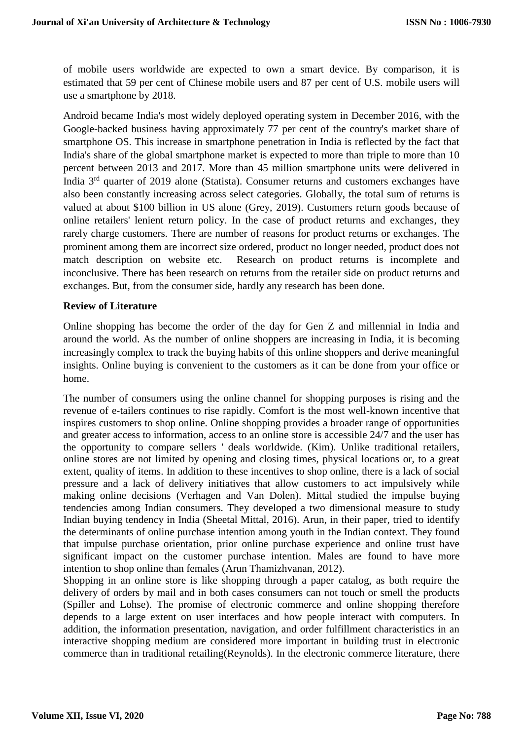of mobile users worldwide are expected to own a smart device. By comparison, it is estimated that 59 per cent of Chinese mobile users and 87 per cent of U.S. mobile users will use a smartphone by 2018.

Android became India's most widely deployed operating system in December 2016, with the Google-backed business having approximately 77 per cent of the country's market share of smartphone OS. This increase in smartphone penetration in India is reflected by the fact that India's share of the global smartphone market is expected to more than triple to more than 10 percent between 2013 and 2017. More than 45 million smartphone units were delivered in India  $3<sup>rd</sup>$  quarter of 2019 alone (Statista). Consumer returns and customers exchanges have also been constantly increasing across select categories. Globally, the total sum of returns is valued at about \$100 billion in US alone (Grey, 2019). Customers return goods because of online retailers' lenient return policy. In the case of product returns and exchanges, they rarely charge customers. There are number of reasons for product returns or exchanges. The prominent among them are incorrect size ordered, product no longer needed, product does not match description on website etc. Research on product returns is incomplete and inconclusive. There has been research on returns from the retailer side on product returns and exchanges. But, from the consumer side, hardly any research has been done.

## **Review of Literature**

Online shopping has become the order of the day for Gen Z and millennial in India and around the world. As the number of online shoppers are increasing in India, it is becoming increasingly complex to track the buying habits of this online shoppers and derive meaningful insights. Online buying is convenient to the customers as it can be done from your office or home.

The number of consumers using the online channel for shopping purposes is rising and the revenue of e-tailers continues to rise rapidly. Comfort is the most well-known incentive that inspires customers to shop online. Online shopping provides a broader range of opportunities and greater access to information, access to an online store is accessible 24/7 and the user has the opportunity to compare sellers ' deals worldwide. (Kim). Unlike traditional retailers, online stores are not limited by opening and closing times, physical locations or, to a great extent, quality of items. In addition to these incentives to shop online, there is a lack of social pressure and a lack of delivery initiatives that allow customers to act impulsively while making online decisions (Verhagen and Van Dolen). Mittal studied the impulse buying tendencies among Indian consumers. They developed a two dimensional measure to study Indian buying tendency in India (Sheetal Mittal, 2016). Arun, in their paper, tried to identify the determinants of online purchase intention among youth in the Indian context. They found that impulse purchase orientation, prior online purchase experience and online trust have significant impact on the customer purchase intention. Males are found to have more intention to shop online than females (Arun Thamizhvanan, 2012).

Shopping in an online store is like shopping through a paper catalog, as both require the delivery of orders by mail and in both cases consumers can not touch or smell the products (Spiller and Lohse). The promise of electronic commerce and online shopping therefore depends to a large extent on user interfaces and how people interact with computers. In addition, the information presentation, navigation, and order fulfillment characteristics in an interactive shopping medium are considered more important in building trust in electronic commerce than in traditional retailing(Reynolds). In the electronic commerce literature, there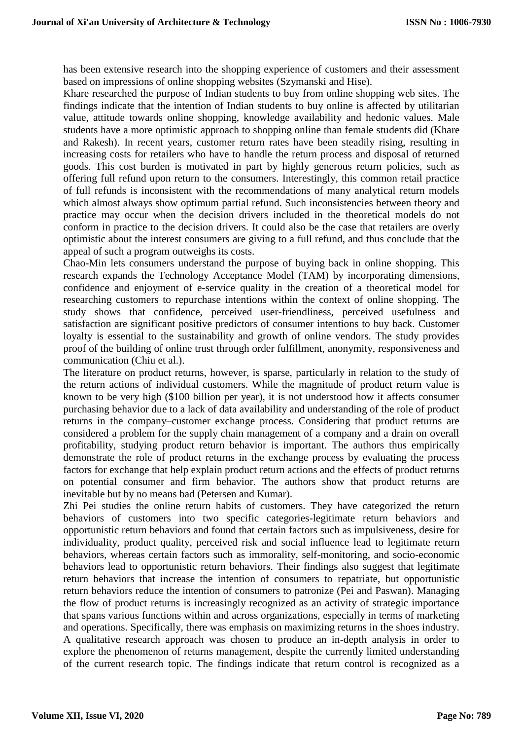has been extensive research into the shopping experience of customers and their assessment based on impressions of online shopping websites (Szymanski and Hise).

Khare researched the purpose of Indian students to buy from online shopping web sites. The findings indicate that the intention of Indian students to buy online is affected by utilitarian value, attitude towards online shopping, knowledge availability and hedonic values. Male students have a more optimistic approach to shopping online than female students did (Khare and Rakesh). In recent years, customer return rates have been steadily rising, resulting in increasing costs for retailers who have to handle the return process and disposal of returned goods. This cost burden is motivated in part by highly generous return policies, such as offering full refund upon return to the consumers. Interestingly, this common retail practice of full refunds is inconsistent with the recommendations of many analytical return models which almost always show optimum partial refund. Such inconsistencies between theory and practice may occur when the decision drivers included in the theoretical models do not conform in practice to the decision drivers. It could also be the case that retailers are overly optimistic about the interest consumers are giving to a full refund, and thus conclude that the appeal of such a program outweighs its costs.

Chao-Min lets consumers understand the purpose of buying back in online shopping. This research expands the Technology Acceptance Model (TAM) by incorporating dimensions, confidence and enjoyment of e-service quality in the creation of a theoretical model for researching customers to repurchase intentions within the context of online shopping. The study shows that confidence, perceived user-friendliness, perceived usefulness and satisfaction are significant positive predictors of consumer intentions to buy back. Customer loyalty is essential to the sustainability and growth of online vendors. The study provides proof of the building of online trust through order fulfillment, anonymity, responsiveness and communication (Chiu et al.).

The literature on product returns, however, is sparse, particularly in relation to the study of the return actions of individual customers. While the magnitude of product return value is known to be very high (\$100 billion per year), it is not understood how it affects consumer purchasing behavior due to a lack of data availability and understanding of the role of product returns in the company–customer exchange process. Considering that product returns are considered a problem for the supply chain management of a company and a drain on overall profitability, studying product return behavior is important. The authors thus empirically demonstrate the role of product returns in the exchange process by evaluating the process factors for exchange that help explain product return actions and the effects of product returns on potential consumer and firm behavior. The authors show that product returns are inevitable but by no means bad (Petersen and Kumar).

Zhi Pei studies the online return habits of customers. They have categorized the return behaviors of customers into two specific categories-legitimate return behaviors and opportunistic return behaviors and found that certain factors such as impulsiveness, desire for individuality, product quality, perceived risk and social influence lead to legitimate return behaviors, whereas certain factors such as immorality, self-monitoring, and socio-economic behaviors lead to opportunistic return behaviors. Their findings also suggest that legitimate return behaviors that increase the intention of consumers to repatriate, but opportunistic return behaviors reduce the intention of consumers to patronize (Pei and Paswan). Managing the flow of product returns is increasingly recognized as an activity of strategic importance that spans various functions within and across organizations, especially in terms of marketing and operations. Specifically, there was emphasis on maximizing returns in the shoes industry. A qualitative research approach was chosen to produce an in-depth analysis in order to explore the phenomenon of returns management, despite the currently limited understanding of the current research topic. The findings indicate that return control is recognized as a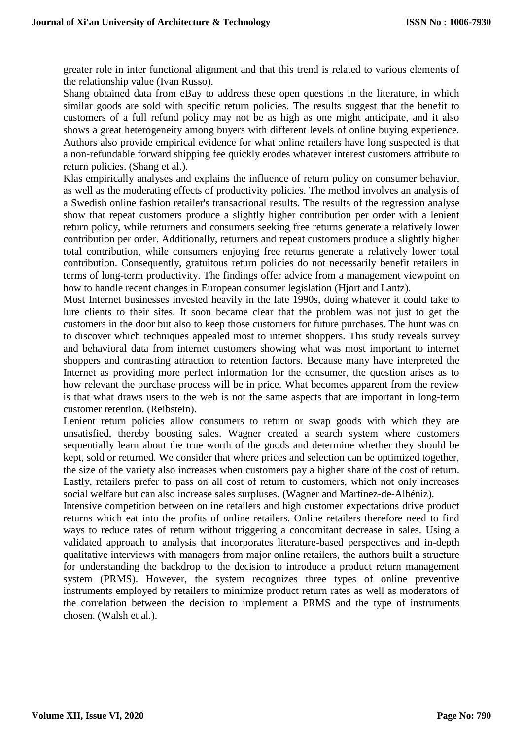greater role in inter functional alignment and that this trend is related to various elements of the relationship value (Ivan Russo).

Shang obtained data from eBay to address these open questions in the literature, in which similar goods are sold with specific return policies. The results suggest that the benefit to customers of a full refund policy may not be as high as one might anticipate, and it also shows a great heterogeneity among buyers with different levels of online buying experience. Authors also provide empirical evidence for what online retailers have long suspected is that a non-refundable forward shipping fee quickly erodes whatever interest customers attribute to return policies. (Shang et al.).

Klas empirically analyses and explains the influence of return policy on consumer behavior, as well as the moderating effects of productivity policies. The method involves an analysis of a Swedish online fashion retailer's transactional results. The results of the regression analyse show that repeat customers produce a slightly higher contribution per order with a lenient return policy, while returners and consumers seeking free returns generate a relatively lower contribution per order. Additionally, returners and repeat customers produce a slightly higher total contribution, while consumers enjoying free returns generate a relatively lower total contribution. Consequently, gratuitous return policies do not necessarily benefit retailers in terms of long-term productivity. The findings offer advice from a management viewpoint on how to handle recent changes in European consumer legislation (Hjort and Lantz).

Most Internet businesses invested heavily in the late 1990s, doing whatever it could take to lure clients to their sites. It soon became clear that the problem was not just to get the customers in the door but also to keep those customers for future purchases. The hunt was on to discover which techniques appealed most to internet shoppers. This study reveals survey and behavioral data from internet customers showing what was most important to internet shoppers and contrasting attraction to retention factors. Because many have interpreted the Internet as providing more perfect information for the consumer, the question arises as to how relevant the purchase process will be in price. What becomes apparent from the review is that what draws users to the web is not the same aspects that are important in long-term customer retention. (Reibstein).

Lenient return policies allow consumers to return or swap goods with which they are unsatisfied, thereby boosting sales. Wagner created a search system where customers sequentially learn about the true worth of the goods and determine whether they should be kept, sold or returned. We consider that where prices and selection can be optimized together, the size of the variety also increases when customers pay a higher share of the cost of return. Lastly, retailers prefer to pass on all cost of return to customers, which not only increases social welfare but can also increase sales surpluses. (Wagner and Martínez-de-Albéniz).

Intensive competition between online retailers and high customer expectations drive product returns which eat into the profits of online retailers. Online retailers therefore need to find ways to reduce rates of return without triggering a concomitant decrease in sales. Using a validated approach to analysis that incorporates literature-based perspectives and in-depth qualitative interviews with managers from major online retailers, the authors built a structure for understanding the backdrop to the decision to introduce a product return management system (PRMS). However, the system recognizes three types of online preventive instruments employed by retailers to minimize product return rates as well as moderators of the correlation between the decision to implement a PRMS and the type of instruments chosen. (Walsh et al.).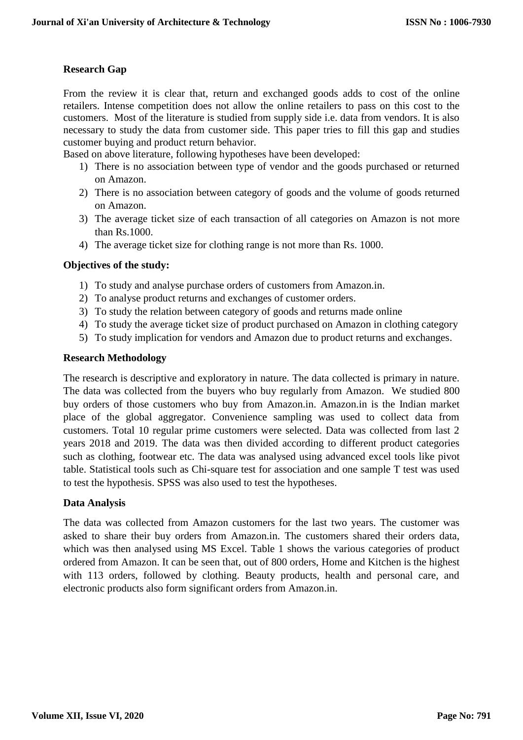## **Research Gap**

From the review it is clear that, return and exchanged goods adds to cost of the online retailers. Intense competition does not allow the online retailers to pass on this cost to the customers. Most of the literature is studied from supply side i.e. data from vendors. It is also necessary to study the data from customer side. This paper tries to fill this gap and studies customer buying and product return behavior.

Based on above literature, following hypotheses have been developed:

- 1) There is no association between type of vendor and the goods purchased or returned on Amazon.
- 2) There is no association between category of goods and the volume of goods returned on Amazon.
- 3) The average ticket size of each transaction of all categories on Amazon is not more than Rs.1000.
- 4) The average ticket size for clothing range is not more than Rs. 1000.

## **Objectives of the study:**

- 1) To study and analyse purchase orders of customers from Amazon.in.
- 2) To analyse product returns and exchanges of customer orders.
- 3) To study the relation between category of goods and returns made online
- 4) To study the average ticket size of product purchased on Amazon in clothing category
- 5) To study implication for vendors and Amazon due to product returns and exchanges.

## **Research Methodology**

The research is descriptive and exploratory in nature. The data collected is primary in nature. The data was collected from the buyers who buy regularly from Amazon. We studied 800 buy orders of those customers who buy from Amazon.in. Amazon.in is the Indian market place of the global aggregator. Convenience sampling was used to collect data from customers. Total 10 regular prime customers were selected. Data was collected from last 2 years 2018 and 2019. The data was then divided according to different product categories such as clothing, footwear etc. The data was analysed using advanced excel tools like pivot table. Statistical tools such as Chi-square test for association and one sample T test was used to test the hypothesis. SPSS was also used to test the hypotheses.

## **Data Analysis**

The data was collected from Amazon customers for the last two years. The customer was asked to share their buy orders from Amazon.in. The customers shared their orders data, which was then analysed using MS Excel. Table 1 shows the various categories of product ordered from Amazon. It can be seen that, out of 800 orders, Home and Kitchen is the highest with 113 orders, followed by clothing. Beauty products, health and personal care, and electronic products also form significant orders from Amazon.in.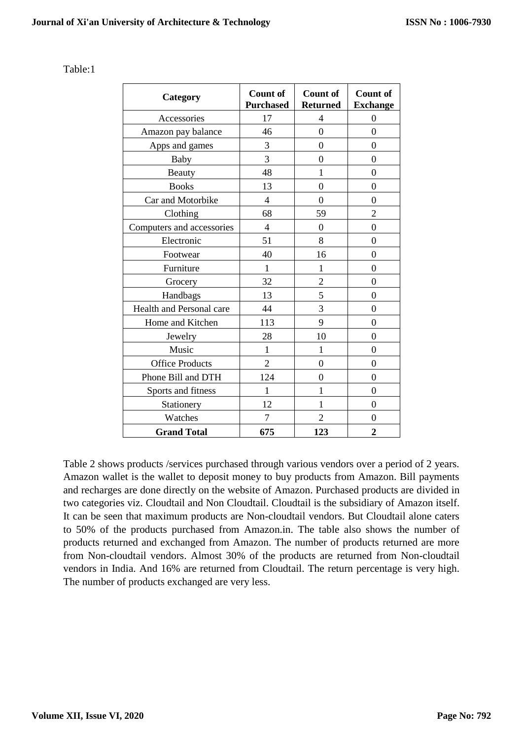| Category                  | <b>Count of</b><br><b>Purchased</b> | <b>Count of</b><br><b>Returned</b> | <b>Count of</b><br><b>Exchange</b> |
|---------------------------|-------------------------------------|------------------------------------|------------------------------------|
| Accessories               | 17                                  | $\overline{4}$                     | $\boldsymbol{0}$                   |
| Amazon pay balance        | 46                                  | $\overline{0}$                     | $\overline{0}$                     |
| Apps and games            | 3                                   | $\overline{0}$                     | $\overline{0}$                     |
| Baby                      | 3                                   | $\theta$                           | $\overline{0}$                     |
| <b>Beauty</b>             | 48                                  | 1                                  | $\theta$                           |
| <b>Books</b>              | 13                                  | $\overline{0}$                     | $\theta$                           |
| Car and Motorbike         | $\overline{4}$                      | $\overline{0}$                     | $\theta$                           |
| Clothing                  | 68                                  | 59                                 | $\overline{2}$                     |
| Computers and accessories | $\overline{4}$                      | $\overline{0}$                     | $\overline{0}$                     |
| Electronic                | 51                                  | 8                                  | $\theta$                           |
| Footwear                  | 40                                  | 16                                 | $\Omega$                           |
| Furniture                 | 1                                   | 1                                  | $\theta$                           |
| Grocery                   | 32                                  | $\overline{2}$                     | $\theta$                           |
| Handbags                  | 13                                  | 5                                  | $\overline{0}$                     |
| Health and Personal care  | 44                                  | 3                                  | $\overline{0}$                     |
| Home and Kitchen          | 113                                 | 9                                  | $\theta$                           |
| Jewelry                   | 28                                  | 10                                 | $\overline{0}$                     |
| Music                     | 1                                   | 1                                  | $\Omega$                           |
| <b>Office Products</b>    | $\overline{2}$                      | $\theta$                           | $\Omega$                           |
| Phone Bill and DTH        | 124                                 | $\overline{0}$                     | $\overline{0}$                     |
| Sports and fitness        | 1                                   | 1                                  | $\Omega$                           |
| Stationery                | 12                                  | 1                                  | $\theta$                           |
| Watches                   | 7                                   | $\overline{2}$                     | $\theta$                           |
| <b>Grand Total</b>        | 675                                 | 123                                | $\overline{2}$                     |

Table 2 shows products /services purchased through various vendors over a period of 2 years. Amazon wallet is the wallet to deposit money to buy products from Amazon. Bill payments and recharges are done directly on the website of Amazon. Purchased products are divided in two categories viz. Cloudtail and Non Cloudtail. Cloudtail is the subsidiary of Amazon itself. It can be seen that maximum products are Non-cloudtail vendors. But Cloudtail alone caters to 50% of the products purchased from Amazon.in. The table also shows the number of products returned and exchanged from Amazon. The number of products returned are more from Non-cloudtail vendors. Almost 30% of the products are returned from Non-cloudtail vendors in India. And 16% are returned from Cloudtail. The return percentage is very high. The number of products exchanged are very less.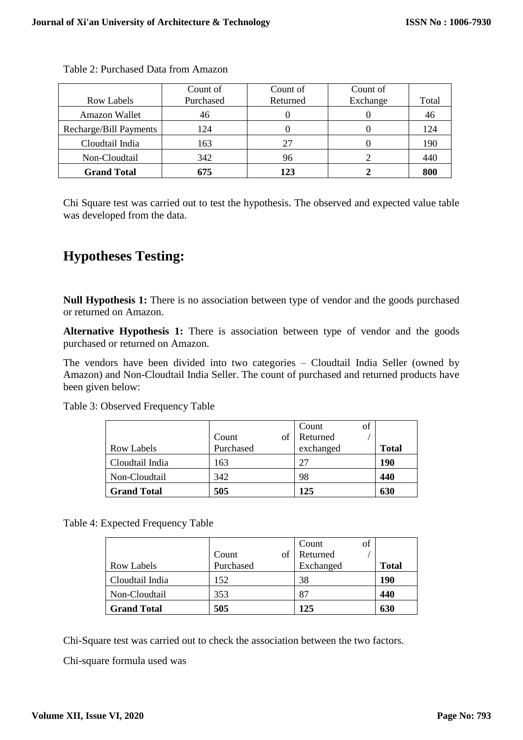|                        | Count of  | Count of | Count of |       |
|------------------------|-----------|----------|----------|-------|
| Row Labels             | Purchased | Returned | Exchange | Total |
| <b>Amazon Wallet</b>   | 46        |          |          | 46    |
| Recharge/Bill Payments | 124       |          |          | 124   |
| Cloudtail India        | 163       |          |          | 190   |
| Non-Cloudtail          | 342       | 96       |          | 440   |
| <b>Grand Total</b>     | 675       | 123      |          | 800   |

Table 2: Purchased Data from Amazon

Chi Square test was carried out to test the hypothesis. The observed and expected value table was developed from the data.

# **Hypotheses Testing:**

**Null Hypothesis 1:** There is no association between type of vendor and the goods purchased or returned on Amazon.

**Alternative Hypothesis 1:** There is association between type of vendor and the goods purchased or returned on Amazon.

The vendors have been divided into two categories – Cloudtail India Seller (owned by Amazon) and Non-Cloudtail India Seller. The count of purchased and returned products have been given below:

Table 3: Observed Frequency Table

|                    |           | of<br>Count |              |
|--------------------|-----------|-------------|--------------|
|                    | Count     | Returned    |              |
| <b>Row Labels</b>  | Purchased | exchanged   | <b>Total</b> |
| Cloudtail India    | 163       |             | 190          |
| Non-Cloudtail      | 342       | 98          | 440          |
| <b>Grand Total</b> | 505       | 125         | 630          |

Table 4: Expected Frequency Table

|                    |           | of<br>Count |              |
|--------------------|-----------|-------------|--------------|
|                    | Count     | Returned    |              |
| Row Labels         | Purchased | Exchanged   | <b>Total</b> |
| Cloudtail India    | 152       | 38          | 190          |
| Non-Cloudtail      | 353       | 87          | 440          |
| <b>Grand Total</b> | 505       | 125         | 630          |

Chi-Square test was carried out to check the association between the two factors.

Chi-square formula used was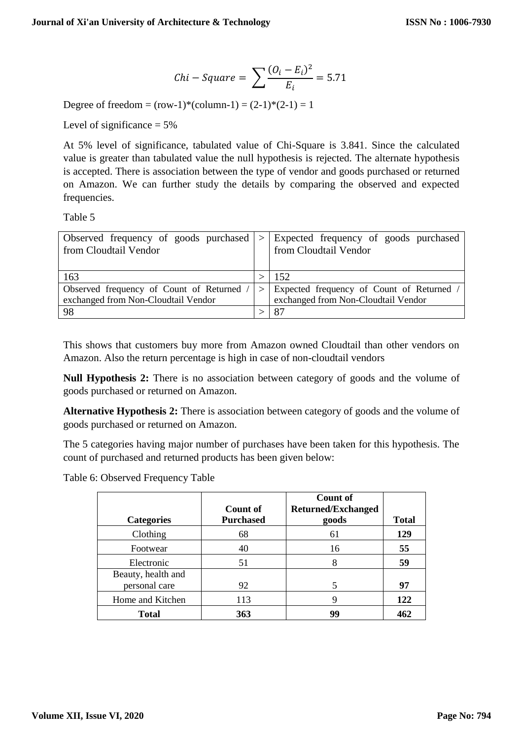$$
Chi-Square = \sum \frac{(O_i - E_i)^2}{E_i} = 5.71
$$

Degree of freedom =  $(row-1)*(column-1) = (2-1)*(2-1) = 1$ 

Level of significance  $= 5\%$ 

At 5% level of significance, tabulated value of Chi-Square is 3.841. Since the calculated value is greater than tabulated value the null hypothesis is rejected. The alternate hypothesis is accepted. There is association between the type of vendor and goods purchased or returned on Amazon. We can further study the details by comparing the observed and expected frequencies.

Table 5

| Observed frequency of goods purchased $  >  $ Expected frequency of goods purchased<br>from Cloudtail Vendor | from Cloudtail Vendor                                                                |
|--------------------------------------------------------------------------------------------------------------|--------------------------------------------------------------------------------------|
| 163                                                                                                          | 152                                                                                  |
| Observed frequency of Count of Returned /<br>exchanged from Non-Cloudtail Vendor                             | $>$ Expected frequency of Count of Returned /<br>exchanged from Non-Cloudtail Vendor |
| 98                                                                                                           | 87                                                                                   |

This shows that customers buy more from Amazon owned Cloudtail than other vendors on Amazon. Also the return percentage is high in case of non-cloudtail vendors

**Null Hypothesis 2:** There is no association between category of goods and the volume of goods purchased or returned on Amazon.

**Alternative Hypothesis 2:** There is association between category of goods and the volume of goods purchased or returned on Amazon.

The 5 categories having major number of purchases have been taken for this hypothesis. The count of purchased and returned products has been given below:

Table 6: Observed Frequency Table

| <b>Categories</b>                   | <b>Count of</b><br><b>Purchased</b> | <b>Count of</b><br><b>Returned/Exchanged</b><br>goods | <b>Total</b> |
|-------------------------------------|-------------------------------------|-------------------------------------------------------|--------------|
| Clothing                            | 68                                  | 61                                                    | 129          |
| Footwear                            | 40                                  | 16                                                    | 55           |
| Electronic                          | 51                                  | 8                                                     | 59           |
| Beauty, health and<br>personal care | 92                                  |                                                       | 97           |
| Home and Kitchen                    | 113                                 | Q                                                     | 122          |
| <b>Total</b>                        | 363                                 | 99                                                    | 462          |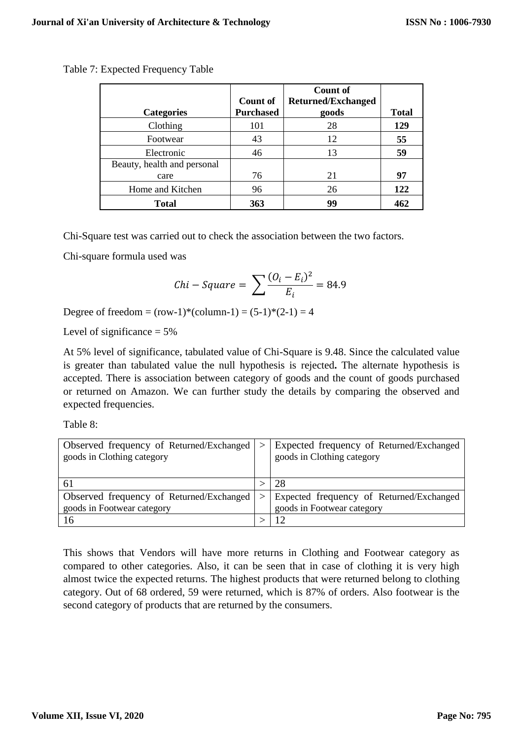|                             |                  | Count of                  |              |
|-----------------------------|------------------|---------------------------|--------------|
|                             | <b>Count of</b>  | <b>Returned/Exchanged</b> |              |
| <b>Categories</b>           | <b>Purchased</b> | goods                     | <b>Total</b> |
| Clothing                    | 101              | 28                        | 129          |
| Footwear                    | 43               | 12                        | 55           |
| Electronic                  | 46               | 13                        | 59           |
| Beauty, health and personal |                  |                           |              |
| care                        | 76               | 21                        | 97           |
| Home and Kitchen            | 96               | 26                        | 122          |
| Total                       | 363              | 99                        | 462          |

Table 7: Expected Frequency Table

Chi-Square test was carried out to check the association between the two factors.

Chi-square formula used was

$$
Chi-Square = \sum \frac{(O_i - E_i)^2}{E_i} = 84.9
$$

Degree of freedom =  $(row-1)*(column-1) = (5-1)*(2-1) = 4$ 

Level of significance  $= 5\%$ 

At 5% level of significance, tabulated value of Chi-Square is 9.48. Since the calculated value is greater than tabulated value the null hypothesis is rejected**.** The alternate hypothesis is accepted. There is association between category of goods and the count of goods purchased or returned on Amazon. We can further study the details by comparing the observed and expected frequencies.

Table 8:

| Observed frequency of Returned/Exchanged | $\geq$ | Expected frequency of Returned/Exchanged     |
|------------------------------------------|--------|----------------------------------------------|
| goods in Clothing category               |        | goods in Clothing category                   |
|                                          |        |                                              |
|                                          |        | 28                                           |
| Observed frequency of Returned/Exchanged |        | $>$ Expected frequency of Returned/Exchanged |
| goods in Footwear category               |        | goods in Footwear category                   |
| 16                                       |        |                                              |

This shows that Vendors will have more returns in Clothing and Footwear category as compared to other categories. Also, it can be seen that in case of clothing it is very high almost twice the expected returns. The highest products that were returned belong to clothing category. Out of 68 ordered, 59 were returned, which is 87% of orders. Also footwear is the second category of products that are returned by the consumers.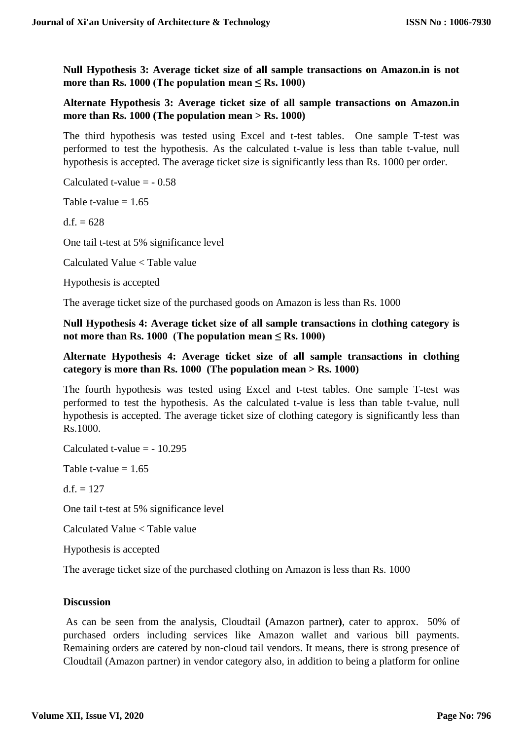**Null Hypothesis 3: Average ticket size of all sample transactions on Amazon.in is not more than Rs. 1000** (The population mean  $\leq$  Rs. 1000)

## **Alternate Hypothesis 3: Average ticket size of all sample transactions on Amazon.in more than Rs. 1000 (The population mean > Rs. 1000)**

The third hypothesis was tested using Excel and t-test tables. One sample T-test was performed to test the hypothesis. As the calculated t-value is less than table t-value, null hypothesis is accepted. The average ticket size is significantly less than Rs. 1000 per order.

Calculated t-value  $= -0.58$ 

Table t-value  $= 1.65$ 

 $d.f. = 628$ 

One tail t-test at 5% significance level

Calculated Value < Table value

Hypothesis is accepted

The average ticket size of the purchased goods on Amazon is less than Rs. 1000

**Null Hypothesis 4: Average ticket size of all sample transactions in clothing category is**  not more than Rs.  $1000$  (The population mean  $\leq$  Rs.  $1000$ )

## **Alternate Hypothesis 4: Average ticket size of all sample transactions in clothing category is more than Rs. 1000 (The population mean > Rs. 1000)**

The fourth hypothesis was tested using Excel and t-test tables. One sample T-test was performed to test the hypothesis. As the calculated t-value is less than table t-value, null hypothesis is accepted. The average ticket size of clothing category is significantly less than Rs.1000.

Calculated t-value  $=$  - 10.295

Table t-value  $= 1.65$ 

d.f.  $= 127$ 

One tail t-test at 5% significance level

Calculated Value < Table value

Hypothesis is accepted

The average ticket size of the purchased clothing on Amazon is less than Rs. 1000

## **Discussion**

As can be seen from the analysis, Cloudtail **(**Amazon partner**)**, cater to approx. 50% of purchased orders including services like Amazon wallet and various bill payments. Remaining orders are catered by non-cloud tail vendors. It means, there is strong presence of Cloudtail (Amazon partner) in vendor category also, in addition to being a platform for online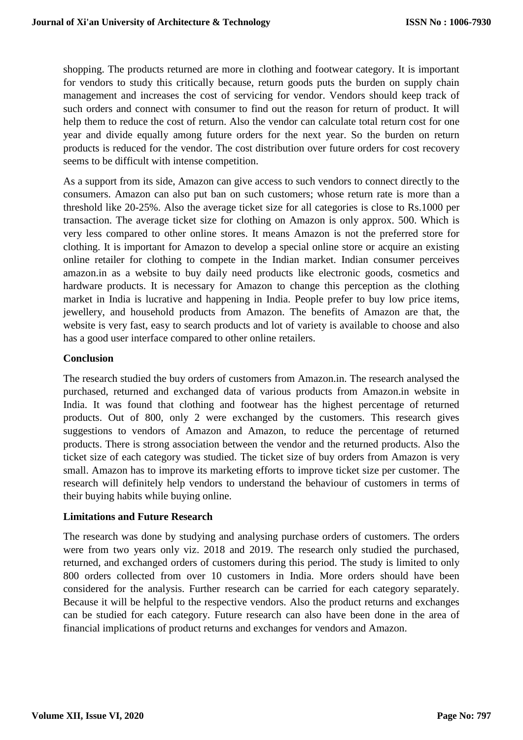shopping. The products returned are more in clothing and footwear category. It is important for vendors to study this critically because, return goods puts the burden on supply chain management and increases the cost of servicing for vendor. Vendors should keep track of such orders and connect with consumer to find out the reason for return of product. It will help them to reduce the cost of return. Also the vendor can calculate total return cost for one year and divide equally among future orders for the next year. So the burden on return products is reduced for the vendor. The cost distribution over future orders for cost recovery seems to be difficult with intense competition.

As a support from its side, Amazon can give access to such vendors to connect directly to the consumers. Amazon can also put ban on such customers; whose return rate is more than a threshold like 20-25%. Also the average ticket size for all categories is close to Rs.1000 per transaction. The average ticket size for clothing on Amazon is only approx. 500. Which is very less compared to other online stores. It means Amazon is not the preferred store for clothing. It is important for Amazon to develop a special online store or acquire an existing online retailer for clothing to compete in the Indian market. Indian consumer perceives amazon.in as a website to buy daily need products like electronic goods, cosmetics and hardware products. It is necessary for Amazon to change this perception as the clothing market in India is lucrative and happening in India. People prefer to buy low price items, jewellery, and household products from Amazon. The benefits of Amazon are that, the website is very fast, easy to search products and lot of variety is available to choose and also has a good user interface compared to other online retailers.

## **Conclusion**

The research studied the buy orders of customers from Amazon.in. The research analysed the purchased, returned and exchanged data of various products from Amazon.in website in India. It was found that clothing and footwear has the highest percentage of returned products. Out of 800, only 2 were exchanged by the customers. This research gives suggestions to vendors of Amazon and Amazon, to reduce the percentage of returned products. There is strong association between the vendor and the returned products. Also the ticket size of each category was studied. The ticket size of buy orders from Amazon is very small. Amazon has to improve its marketing efforts to improve ticket size per customer. The research will definitely help vendors to understand the behaviour of customers in terms of their buying habits while buying online.

## **Limitations and Future Research**

The research was done by studying and analysing purchase orders of customers. The orders were from two years only viz. 2018 and 2019. The research only studied the purchased, returned, and exchanged orders of customers during this period. The study is limited to only 800 orders collected from over 10 customers in India. More orders should have been considered for the analysis. Further research can be carried for each category separately. Because it will be helpful to the respective vendors. Also the product returns and exchanges can be studied for each category. Future research can also have been done in the area of financial implications of product returns and exchanges for vendors and Amazon.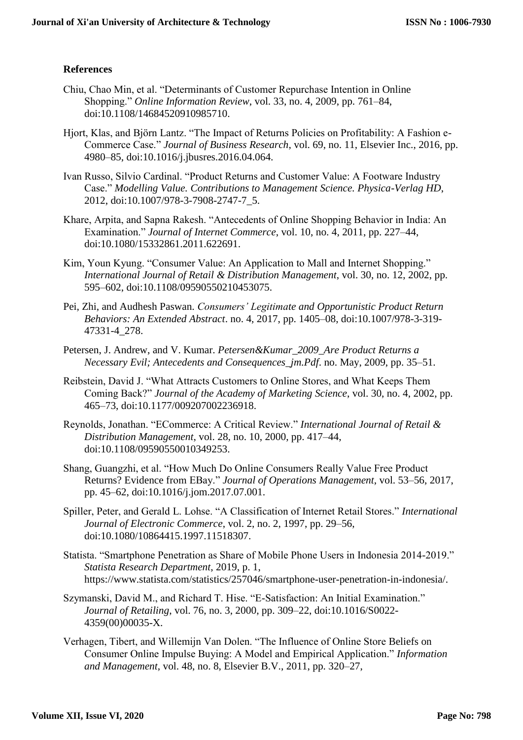## **References**

- Chiu, Chao Min, et al. "Determinants of Customer Repurchase Intention in Online Shopping." *Online Information Review*, vol. 33, no. 4, 2009, pp. 761–84, doi:10.1108/14684520910985710.
- Hjort, Klas, and Björn Lantz. "The Impact of Returns Policies on Profitability: A Fashion e-Commerce Case." *Journal of Business Research*, vol. 69, no. 11, Elsevier Inc., 2016, pp. 4980–85, doi:10.1016/j.jbusres.2016.04.064.
- Ivan Russo, Silvio Cardinal. "Product Returns and Customer Value: A Footware Industry Case." *Modelling Value. Contributions to Management Science. Physica-Verlag HD*, 2012, doi:10.1007/978-3-7908-2747-7\_5.
- Khare, Arpita, and Sapna Rakesh. "Antecedents of Online Shopping Behavior in India: An Examination." *Journal of Internet Commerce*, vol. 10, no. 4, 2011, pp. 227–44, doi:10.1080/15332861.2011.622691.
- Kim, Youn Kyung. "Consumer Value: An Application to Mall and Internet Shopping." *International Journal of Retail & Distribution Management*, vol. 30, no. 12, 2002, pp. 595–602, doi:10.1108/09590550210453075.
- Pei, Zhi, and Audhesh Paswan. *Consumers' Legitimate and Opportunistic Product Return Behaviors: An Extended Abstract*. no. 4, 2017, pp. 1405–08, doi:10.1007/978-3-319- 47331-4\_278.
- Petersen, J. Andrew, and V. Kumar. *Petersen&Kumar\_2009\_Are Product Returns a Necessary Evil; Antecedents and Consequences\_jm.Pdf*. no. May, 2009, pp. 35–51.
- Reibstein, David J. "What Attracts Customers to Online Stores, and What Keeps Them Coming Back?" *Journal of the Academy of Marketing Science*, vol. 30, no. 4, 2002, pp. 465–73, doi:10.1177/009207002236918.
- Reynolds, Jonathan. "ECommerce: A Critical Review." *International Journal of Retail & Distribution Management*, vol. 28, no. 10, 2000, pp. 417–44, doi:10.1108/09590550010349253.
- Shang, Guangzhi, et al. "How Much Do Online Consumers Really Value Free Product Returns? Evidence from EBay." *Journal of Operations Management*, vol. 53–56, 2017, pp. 45–62, doi:10.1016/j.jom.2017.07.001.
- Spiller, Peter, and Gerald L. Lohse. "A Classification of Internet Retail Stores." *International Journal of Electronic Commerce*, vol. 2, no. 2, 1997, pp. 29–56, doi:10.1080/10864415.1997.11518307.
- Statista. "Smartphone Penetration as Share of Mobile Phone Users in Indonesia 2014-2019." *Statista Research Department*, 2019, p. 1, https://www.statista.com/statistics/257046/smartphone-user-penetration-in-indonesia/.
- Szymanski, David M., and Richard T. Hise. "E-Satisfaction: An Initial Examination." *Journal of Retailing*, vol. 76, no. 3, 2000, pp. 309–22, doi:10.1016/S0022- 4359(00)00035-X.
- Verhagen, Tibert, and Willemijn Van Dolen. "The Influence of Online Store Beliefs on Consumer Online Impulse Buying: A Model and Empirical Application." *Information and Management*, vol. 48, no. 8, Elsevier B.V., 2011, pp. 320–27,